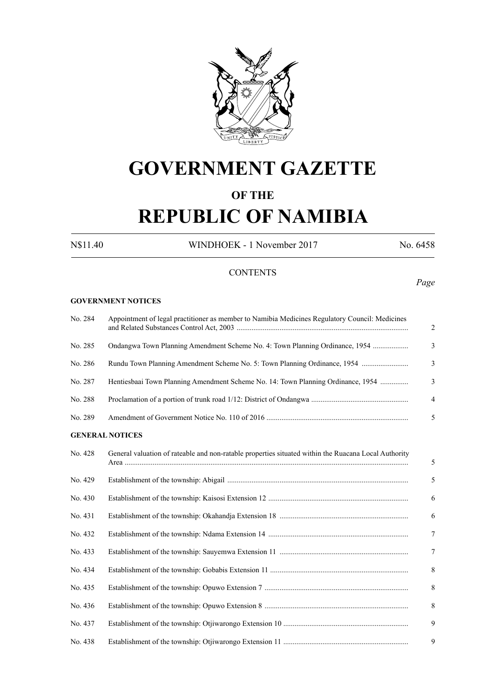

# **GOVERNMENT GAZETTE**

### **OF THE**

# **REPUBLIC OF NAMIBIA**

N\$11.40 WINDHOEK - 1 November 2017 No. 6458

### **CONTENTS**

#### *Page*

#### **GOVERNMENT NOTICES**

| No. 284 | Appointment of legal practitioner as member to Namibia Medicines Regulatory Council: Medicines       |  |  |  |  |  |  |
|---------|------------------------------------------------------------------------------------------------------|--|--|--|--|--|--|
| No. 285 | Ondangwa Town Planning Amendment Scheme No. 4: Town Planning Ordinance, 1954                         |  |  |  |  |  |  |
| No. 286 | Rundu Town Planning Amendment Scheme No. 5: Town Planning Ordinance, 1954                            |  |  |  |  |  |  |
| No. 287 | Hentiesbaai Town Planning Amendment Scheme No. 14: Town Planning Ordinance, 1954                     |  |  |  |  |  |  |
| No. 288 |                                                                                                      |  |  |  |  |  |  |
| No. 289 |                                                                                                      |  |  |  |  |  |  |
|         | <b>GENERAL NOTICES</b>                                                                               |  |  |  |  |  |  |
| No. 428 | General valuation of rateable and non-ratable properties situated within the Ruacana Local Authority |  |  |  |  |  |  |
| No. 429 |                                                                                                      |  |  |  |  |  |  |
| No. 430 |                                                                                                      |  |  |  |  |  |  |
| No. 431 |                                                                                                      |  |  |  |  |  |  |
| No. 432 |                                                                                                      |  |  |  |  |  |  |
| No. 433 |                                                                                                      |  |  |  |  |  |  |
| No. 434 |                                                                                                      |  |  |  |  |  |  |
| No. 435 |                                                                                                      |  |  |  |  |  |  |
| No. 436 |                                                                                                      |  |  |  |  |  |  |
| No. 437 |                                                                                                      |  |  |  |  |  |  |
| No. 438 |                                                                                                      |  |  |  |  |  |  |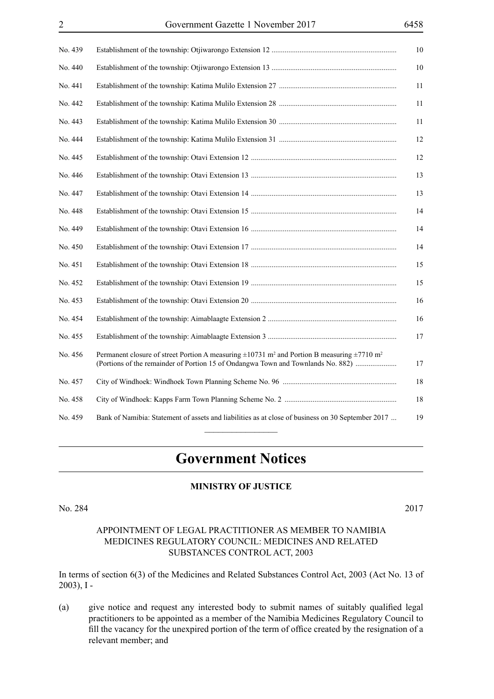| No. 439 | 10                                                                                                                                                                                                                     |
|---------|------------------------------------------------------------------------------------------------------------------------------------------------------------------------------------------------------------------------|
| No. 440 | 10                                                                                                                                                                                                                     |
| No. 441 | 11                                                                                                                                                                                                                     |
| No. 442 | 11                                                                                                                                                                                                                     |
| No. 443 | 11                                                                                                                                                                                                                     |
| No. 444 | 12                                                                                                                                                                                                                     |
| No. 445 | 12                                                                                                                                                                                                                     |
| No. 446 | 13                                                                                                                                                                                                                     |
| No. 447 | 13                                                                                                                                                                                                                     |
| No. 448 | 14                                                                                                                                                                                                                     |
| No. 449 | 14                                                                                                                                                                                                                     |
| No. 450 | 14                                                                                                                                                                                                                     |
| No. 451 | 15                                                                                                                                                                                                                     |
| No. 452 | 15                                                                                                                                                                                                                     |
| No. 453 | 16                                                                                                                                                                                                                     |
| No. 454 | 16                                                                                                                                                                                                                     |
| No. 455 | 17                                                                                                                                                                                                                     |
| No. 456 | Permanent closure of street Portion A measuring $\pm 10731$ m <sup>2</sup> and Portion B measuring $\pm 7710$ m <sup>2</sup><br>(Portions of the remainder of Portion 15 of Ondangwa Town and Townlands No. 882)<br>17 |
| No. 457 | 18                                                                                                                                                                                                                     |
| No. 458 | $18\,$                                                                                                                                                                                                                 |
| No. 459 | Bank of Namibia: Statement of assets and liabilities as at close of business on 30 September 2017<br>19                                                                                                                |

## **Government Notices**

#### **MINISTRY OF JUSTICE**

No. 284 2017

#### APPOINTMENT OF LEGAL PRACTITIONER AS MEMBER TO NAMIBIA MEDICINES REGULATORY COUNCIL: MEDICINES AND RELATED SUBSTANCES CONTROL ACT, 2003

In terms of section 6(3) of the Medicines and Related Substances Control Act, 2003 (Act No. 13 of 2003), I -

(a) give notice and request any interested body to submit names of suitably qualified legal practitioners to be appointed as a member of the Namibia Medicines Regulatory Council to fill the vacancy for the unexpired portion of the term of office created by the resignation of a relevant member; and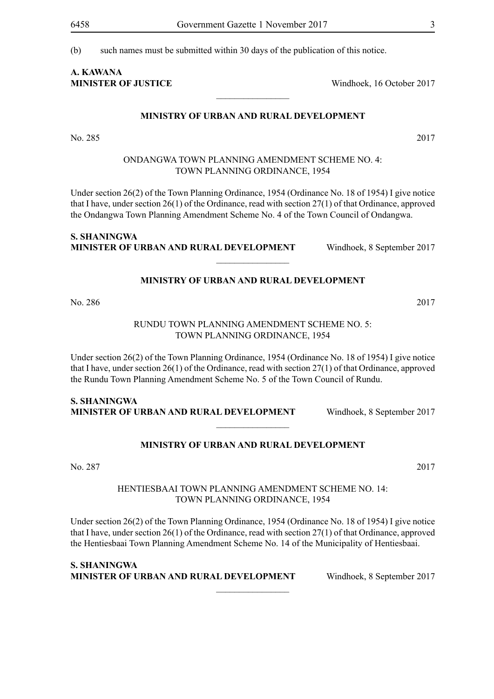(b) such names must be submitted within 30 days of the publication of this notice.

# **A. Kawana**

**MINISTER OF JUSTICE** Windhoek, 16 October 2017

#### **MINISTRY OF URBAN AND RURAL DEVELOPMENT**

 $\overline{\phantom{a}}$  , where  $\overline{\phantom{a}}$ 

No. 285 2017

#### ONDANGWA TOWN PLANNING AMENDMENT SCHEME NO. 4: TOWN PLANNING ORDINANCE, 1954

Under section 26(2) of the Town Planning Ordinance, 1954 (Ordinance No. 18 of 1954) I give notice that I have, under section 26(1) of the Ordinance, read with section 27(1) of that Ordinance, approved the Ondangwa Town Planning Amendment Scheme No. 4 of the Town Council of Ondangwa.

#### **S. Shaningwa Minister of Urban and Rural Development** Windhoek, 8 September 2017

**MINISTRY OF URBAN AND RURAL DEVELOPMENT**

 $\frac{1}{2}$ 

No. 286 2017

#### RUNDU TOWN PLANNING AMENDMENT SCHEME NO. 5: TOWN PLANNING ORDINANCE, 1954

Under section 26(2) of the Town Planning Ordinance, 1954 (Ordinance No. 18 of 1954) I give notice that I have, under section 26(1) of the Ordinance, read with section 27(1) of that Ordinance, approved the Rundu Town Planning Amendment Scheme No. 5 of the Town Council of Rundu.

#### **S. Shaningwa Minister of Urban and Rural Development** Windhoek, 8 September 2017

#### **MINISTRY OF URBAN AND RURAL DEVELOPMENT**

 $\frac{1}{2}$ 

No. 287 2017

#### HENTIESBAAI TOWN PLANNING AMENDMENT SCHEME NO. 14: TOWN PLANNING ORDINANCE, 1954

Under section 26(2) of the Town Planning Ordinance, 1954 (Ordinance No. 18 of 1954) I give notice that I have, under section 26(1) of the Ordinance, read with section 27(1) of that Ordinance, approved the Hentiesbaai Town Planning Amendment Scheme No. 14 of the Municipality of Hentiesbaai.

 $\overline{\phantom{a}}$  , where  $\overline{\phantom{a}}$ 

**S. Shaningwa Minister of Urban and Rural Development** Windhoek, 8 September 2017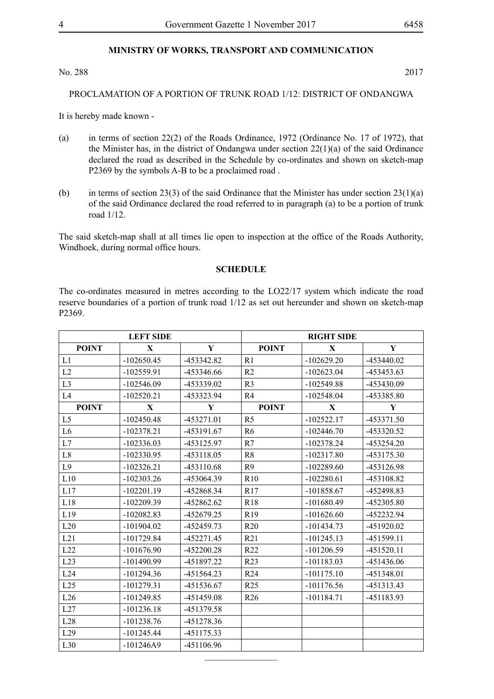#### **MINISTRY OF WORKS, TRANSPORT AND COMMUNICATION**

No. 288 2017

#### PROCLAMATION OF A PORTION OF TRUNK ROAD 1/12: DISTRICT OF ONDANGWA

It is hereby made known -

- (a) in terms of section 22(2) of the Roads Ordinance, 1972 (Ordinance No. 17 of 1972), that the Minister has, in the district of Ondangwa under section 22(1)(a) of the said Ordinance declared the road as described in the Schedule by co-ordinates and shown on sketch-map P2369 by the symbols A-B to be a proclaimed road .
- (b) in terms of section 23(3) of the said Ordinance that the Minister has under section  $23(1)(a)$ of the said Ordinance declared the road referred to in paragraph (a) to be a portion of trunk road 1/12.

The said sketch-map shall at all times lie open to inspection at the office of the Roads Authority, Windhoek, during normal office hours.

#### **SCHEDULE**

The co-ordinates measured in metres according to the LO22/17 system which indicate the road reserve boundaries of a portion of trunk road 1/12 as set out hereunder and shown on sketch-map P2369.

|                | <b>LEFT SIDE</b> |              | <b>RIGHT SIDE</b> |              |              |
|----------------|------------------|--------------|-------------------|--------------|--------------|
| <b>POINT</b>   | $\mathbf X$      | $\mathbf Y$  | <b>POINT</b>      | $\mathbf X$  | $\mathbf Y$  |
| L1             | $-102650.45$     | -453342.82   | R1                | $-102629.20$ | -453440.02   |
| L2             | $-102559.91$     | -453346.66   | R <sub>2</sub>    | $-102623.04$ | -453453.63   |
| L <sub>3</sub> | $-102546.09$     | -453339.02   | R <sub>3</sub>    | $-102549.88$ | -453430.09   |
| L4             | $-102520.21$     | -453323.94   | R <sub>4</sub>    | $-102548.04$ | -453385.80   |
| <b>POINT</b>   | X                | Y            | <b>POINT</b>      | X            | Y            |
| L <sub>5</sub> | $-102450.48$     | -453271.01   | R <sub>5</sub>    | $-102522.17$ | -453371.50   |
| L <sub>6</sub> | $-102378.21$     | -453191.67   | R <sub>6</sub>    | $-102446.70$ | -453320.52   |
| L7             | $-102336.03$     | -453125.97   | R7                | $-102378.24$ | $-453254.20$ |
| L8             | $-102330.95$     | -453118.05   | R <sub>8</sub>    | $-102317.80$ | -453175.30   |
| L <sub>9</sub> | $-102326.21$     | -453110.68   | R <sub>9</sub>    | $-102289.60$ | -453126.98   |
| L10            | $-102303.26$     | -453064.39   | R <sub>10</sub>   | $-102280.61$ | -453108.82   |
| L17            | $-102201.19$     | -452868.34   | R17               | $-101858.67$ | -452498.83   |
| L18            | $-102209.39$     | $-452862.62$ | R <sub>18</sub>   | $-101680.49$ | -452305.80   |
| L19            | $-102082.83$     | -452679.25   | R19               | $-101626.60$ | -452232.94   |
| L20            | $-101904.02$     | -452459.73   | R20               | $-101434.73$ | -451920.02   |
| L21            | $-101729.84$     | $-452271.45$ | R21               | $-101245.13$ | -451599.11   |
| L22            | $-101676.90$     | $-452200.28$ | R <sub>22</sub>   | $-101206.59$ | $-451520.11$ |
| L23            | $-101490.99$     | -451897.22   | R <sub>23</sub>   | $-101183.03$ | -451436.06   |
| L24            | $-101294.36$     | $-451564.23$ | R <sub>24</sub>   | $-101175.10$ | -451348.01   |
| L25            | $-101279.31$     | -451536.67   | R25               | $-101176.56$ | -451313.43   |
| L26            | $-101249.85$     | -451459.08   | R26               | $-101184.71$ | -451183.93   |
| L27            | $-101236.18$     | -451379.58   |                   |              |              |
| L28            | $-101238.76$     | -451278.36   |                   |              |              |
| L29            | $-101245.44$     | -451175.33   |                   |              |              |
| L30            | $-101246A9$      | -451106.96   |                   |              |              |

 $\frac{1}{2}$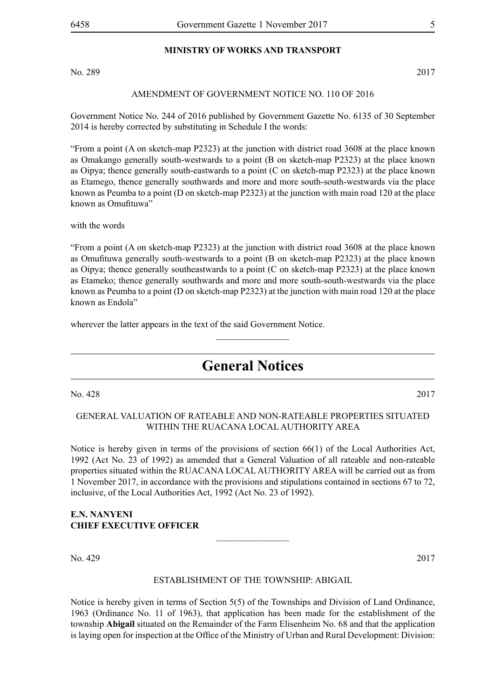#### **MINISTRY OF WORKS AND TRANSPORT**

No. 289 2017

#### AMENDMENT OF GOVERNMENT NOTICE NO. 110 OF 2016

Government Notice No. 244 of 2016 published by Government Gazette No. 6135 of 30 September 2014 is hereby corrected by substituting in Schedule I the words:

"From a point (A on sketch-map P2323) at the junction with district road 3608 at the place known as Omakango generally south-westwards to a point (B on sketch-map P2323) at the place known as Oipya; thence generally south-eastwards to a point (C on sketch-map P2323) at the place known as Etamego, thence generally southwards and more and more south-south-westwards via the place known as Peumba to a point (D on sketch-map P2323) at the junction with main road 120 at the place known as Omufituwa"

with the words

"From a point (A on sketch-map P2323) at the junction with district road 3608 at the place known as Omufituwa generally south-westwards to a point (B on sketch-map P2323) at the place known as Oipya; thence generally southeastwards to a point (C on sketch-map P2323) at the place known as Etameko; thence generally southwards and more and more south-south-westwards via the place known as Peumba to a point (D on sketch-map P2323) at the junction with main road 120 at the place known as Endola"

wherever the latter appears in the text of the said Government Notice.

## **General Notices**

 $\frac{1}{2}$ 

No. 428 2017

#### GENERAL VALUATION OF RATEABLE AND NON-RATEABLE PROPERTIES SITUATED WITHIN THE RUACANA LOCAL AUTHORITY AREA

Notice is hereby given in terms of the provisions of section 66(1) of the Local Authorities Act, 1992 (Act No. 23 of 1992) as amended that a General Valuation of all rateable and non-rateable properties situated within the RUACANA LOCAL AUTHORITY AREA will be carried out as from 1 November 2017, in accordance with the provisions and stipulations contained in sections 67 to 72, inclusive, of the Local Authorities Act, 1992 (Act No. 23 of 1992).

#### **E.N. NANYENI CHIEF EXECUTIVE OFFICER**

No. 429 2017

#### ESTABLISHMENT OF THE TOWNSHIP: ABIGAIL

 $\frac{1}{2}$ 

Notice is hereby given in terms of Section 5(5) of the Townships and Division of Land Ordinance, 1963 (Ordinance No. 11 of 1963), that application has been made for the establishment of the township **Abigail** situated on the Remainder of the Farm Elisenheim No. 68 and that the application is laying open for inspection at the Office of the Ministry of Urban and Rural Development: Division: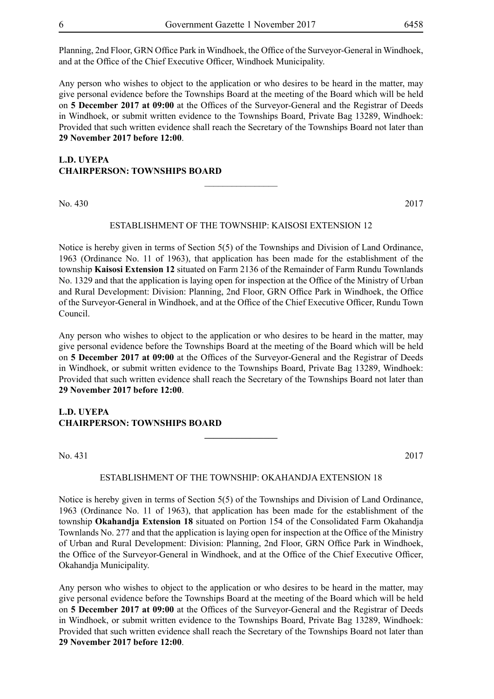Planning, 2nd Floor, GRN Office Park in Windhoek, the Office of the Surveyor-General in Windhoek, and at the Office of the Chief Executive Officer, Windhoek Municipality.

Any person who wishes to object to the application or who desires to be heard in the matter, may give personal evidence before the Townships Board at the meeting of the Board which will be held on **5 December 2017 at 09:00** at the Offices of the Surveyor-General and the Registrar of Deeds in Windhoek, or submit written evidence to the Townships Board, Private Bag 13289, Windhoek: Provided that such written evidence shall reach the Secretary of the Townships Board not later than **29 November 2017 before 12:00**.

#### **L.D. UYEPA CHAIRPERSON: TOWNSHIPS BOARD**

No. 430 2017

#### ESTABLISHMENT OF THE TOWNSHIP: KAISOSI EXTENSION 12

 $\overline{\phantom{a}}$  , where  $\overline{\phantom{a}}$ 

Notice is hereby given in terms of Section 5(5) of the Townships and Division of Land Ordinance, 1963 (Ordinance No. 11 of 1963), that application has been made for the establishment of the township **Kaisosi Extension 12** situated on Farm 2136 of the Remainder of Farm Rundu Townlands No. 1329 and that the application is laying open for inspection at the Office of the Ministry of Urban and Rural Development: Division: Planning, 2nd Floor, GRN Office Park in Windhoek, the Office of the Surveyor-General in Windhoek, and at the Office of the Chief Executive Officer, Rundu Town Council.

Any person who wishes to object to the application or who desires to be heard in the matter, may give personal evidence before the Townships Board at the meeting of the Board which will be held on **5 December 2017 at 09:00** at the Offices of the Surveyor-General and the Registrar of Deeds in Windhoek, or submit written evidence to the Townships Board, Private Bag 13289, Windhoek: Provided that such written evidence shall reach the Secretary of the Townships Board not later than **29 November 2017 before 12:00**.

#### **L.D. UYEPA CHAIRPERSON: TOWNSHIPS BOARD**

No. 431 2017

#### ESTABLISHMENT OF THE TOWNSHIP: OKAHANDJA EXTENSION 18

**\_\_\_\_\_\_\_\_\_\_\_\_\_\_\_\_**

Notice is hereby given in terms of Section 5(5) of the Townships and Division of Land Ordinance, 1963 (Ordinance No. 11 of 1963), that application has been made for the establishment of the township **Okahandja Extension 18** situated on Portion 154 of the Consolidated Farm Okahandja Townlands No. 277 and that the application is laying open for inspection at the Office of the Ministry of Urban and Rural Development: Division: Planning, 2nd Floor, GRN Office Park in Windhoek, the Office of the Surveyor-General in Windhoek, and at the Office of the Chief Executive Officer, Okahandja Municipality.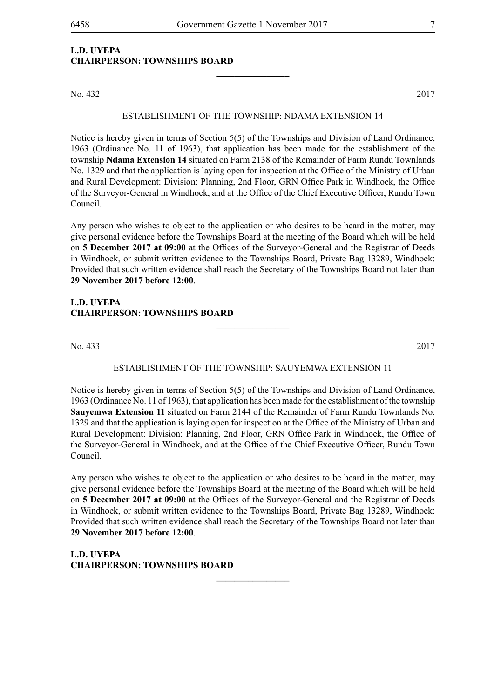#### **L.D. UYEPA CHAIRPERSON: TOWNSHIPS BOARD**

No. 432 2017

#### ESTABLISHMENT OF THE TOWNSHIP: NDAMA EXTENSION 14

**\_\_\_\_\_\_\_\_\_\_\_\_\_\_\_\_**

Notice is hereby given in terms of Section 5(5) of the Townships and Division of Land Ordinance, 1963 (Ordinance No. 11 of 1963), that application has been made for the establishment of the township **Ndama Extension 14** situated on Farm 2138 of the Remainder of Farm Rundu Townlands No. 1329 and that the application is laying open for inspection at the Office of the Ministry of Urban and Rural Development: Division: Planning, 2nd Floor, GRN Office Park in Windhoek, the Office of the Surveyor-General in Windhoek, and at the Office of the Chief Executive Officer, Rundu Town Council.

Any person who wishes to object to the application or who desires to be heard in the matter, may give personal evidence before the Townships Board at the meeting of the Board which will be held on **5 December 2017 at 09:00** at the Offices of the Surveyor-General and the Registrar of Deeds in Windhoek, or submit written evidence to the Townships Board, Private Bag 13289, Windhoek: Provided that such written evidence shall reach the Secretary of the Townships Board not later than **29 November 2017 before 12:00**.

#### **L.D. UYEPA CHAIRPERSON: TOWNSHIPS BOARD**

No. 433 2017

#### ESTABLISHMENT OF THE TOWNSHIP: SAUYEMWA EXTENSION 11

**\_\_\_\_\_\_\_\_\_\_\_\_\_\_\_\_**

Notice is hereby given in terms of Section 5(5) of the Townships and Division of Land Ordinance, 1963 (Ordinance No. 11 of 1963), that application has been made for the establishment of the township **Sauyemwa Extension 11** situated on Farm 2144 of the Remainder of Farm Rundu Townlands No. 1329 and that the application is laying open for inspection at the Office of the Ministry of Urban and Rural Development: Division: Planning, 2nd Floor, GRN Office Park in Windhoek, the Office of the Surveyor-General in Windhoek, and at the Office of the Chief Executive Officer, Rundu Town Council.

Any person who wishes to object to the application or who desires to be heard in the matter, may give personal evidence before the Townships Board at the meeting of the Board which will be held on **5 December 2017 at 09:00** at the Offices of the Surveyor-General and the Registrar of Deeds in Windhoek, or submit written evidence to the Townships Board, Private Bag 13289, Windhoek: Provided that such written evidence shall reach the Secretary of the Townships Board not later than **29 November 2017 before 12:00**.

**\_\_\_\_\_\_\_\_\_\_\_\_\_\_\_\_**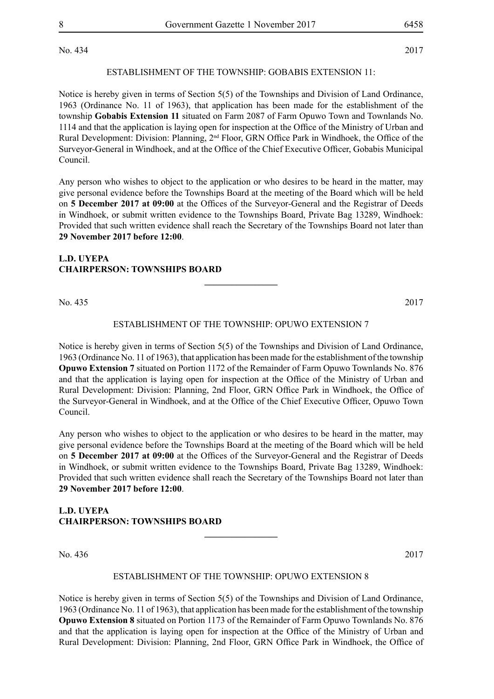No. 434 2017

#### ESTABLISHMENT OF THE TOWNSHIP: GOBABIS EXTENSION 11:

Notice is hereby given in terms of Section 5(5) of the Townships and Division of Land Ordinance, 1963 (Ordinance No. 11 of 1963), that application has been made for the establishment of the township **Gobabis Extension 11** situated on Farm 2087 of Farm Opuwo Town and Townlands No. 1114 and that the application is laying open for inspection at the Office of the Ministry of Urban and Rural Development: Division: Planning, 2<sup>nd</sup> Floor, GRN Office Park in Windhoek, the Office of the Surveyor-General in Windhoek, and at the Office of the Chief Executive Officer, Gobabis Municipal Council.

Any person who wishes to object to the application or who desires to be heard in the matter, may give personal evidence before the Townships Board at the meeting of the Board which will be held on **5 December 2017 at 09:00** at the Offices of the Surveyor-General and the Registrar of Deeds in Windhoek, or submit written evidence to the Townships Board, Private Bag 13289, Windhoek: Provided that such written evidence shall reach the Secretary of the Townships Board not later than **29 November 2017 before 12:00**.

#### **L.D. UYEPA CHAIRPERSON: TOWNSHIPS BOARD**

No. 435 2017

#### ESTABLISHMENT OF THE TOWNSHIP: OPUWO EXTENSION 7

**\_\_\_\_\_\_\_\_\_\_\_\_\_\_\_\_**

Notice is hereby given in terms of Section 5(5) of the Townships and Division of Land Ordinance, 1963 (Ordinance No. 11 of 1963), that application has been made for the establishment of the township **Opuwo Extension 7** situated on Portion 1172 of the Remainder of Farm Opuwo Townlands No. 876 and that the application is laying open for inspection at the Office of the Ministry of Urban and Rural Development: Division: Planning, 2nd Floor, GRN Office Park in Windhoek, the Office of the Surveyor-General in Windhoek, and at the Office of the Chief Executive Officer, Opuwo Town Council.

Any person who wishes to object to the application or who desires to be heard in the matter, may give personal evidence before the Townships Board at the meeting of the Board which will be held on **5 December 2017 at 09:00** at the Offices of the Surveyor-General and the Registrar of Deeds in Windhoek, or submit written evidence to the Townships Board, Private Bag 13289, Windhoek: Provided that such written evidence shall reach the Secretary of the Townships Board not later than **29 November 2017 before 12:00**.

#### **L.D. UYEPA CHAIRPERSON: TOWNSHIPS BOARD**

No. 436 2017

#### ESTABLISHMENT OF THE TOWNSHIP: OPUWO EXTENSION 8

**\_\_\_\_\_\_\_\_\_\_\_\_\_\_\_\_**

Notice is hereby given in terms of Section 5(5) of the Townships and Division of Land Ordinance, 1963 (Ordinance No. 11 of 1963), that application has been made for the establishment of the township **Opuwo Extension 8** situated on Portion 1173 of the Remainder of Farm Opuwo Townlands No. 876 and that the application is laying open for inspection at the Office of the Ministry of Urban and Rural Development: Division: Planning, 2nd Floor, GRN Office Park in Windhoek, the Office of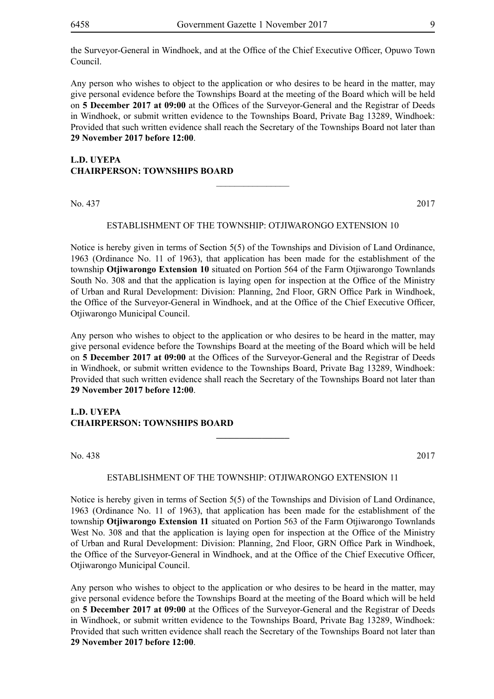the Surveyor-General in Windhoek, and at the Office of the Chief Executive Officer, Opuwo Town Council.

Any person who wishes to object to the application or who desires to be heard in the matter, may give personal evidence before the Townships Board at the meeting of the Board which will be held on **5 December 2017 at 09:00** at the Offices of the Surveyor-General and the Registrar of Deeds in Windhoek, or submit written evidence to the Townships Board, Private Bag 13289, Windhoek: Provided that such written evidence shall reach the Secretary of the Townships Board not later than **29 November 2017 before 12:00**.

#### **L.D. UYEPA CHAIRPERSON: TOWNSHIPS BOARD**

No. 437 2017

#### ESTABLISHMENT OF THE TOWNSHIP: OTJIWARONGO EXTENSION 10

 $\overline{\phantom{a}}$  , where  $\overline{\phantom{a}}$ 

Notice is hereby given in terms of Section 5(5) of the Townships and Division of Land Ordinance, 1963 (Ordinance No. 11 of 1963), that application has been made for the establishment of the township **Otjiwarongo Extension 10** situated on Portion 564 of the Farm Otjiwarongo Townlands South No. 308 and that the application is laying open for inspection at the Office of the Ministry of Urban and Rural Development: Division: Planning, 2nd Floor, GRN Office Park in Windhoek, the Office of the Surveyor-General in Windhoek, and at the Office of the Chief Executive Officer, Otjiwarongo Municipal Council.

Any person who wishes to object to the application or who desires to be heard in the matter, may give personal evidence before the Townships Board at the meeting of the Board which will be held on **5 December 2017 at 09:00** at the Offices of the Surveyor-General and the Registrar of Deeds in Windhoek, or submit written evidence to the Townships Board, Private Bag 13289, Windhoek: Provided that such written evidence shall reach the Secretary of the Townships Board not later than **29 November 2017 before 12:00**.

#### **L.D. UYEPA CHAIRPERSON: TOWNSHIPS BOARD**

No. 438 2017

#### ESTABLISHMENT OF THE TOWNSHIP: OTJIWARONGO EXTENSION 11

**\_\_\_\_\_\_\_\_\_\_\_\_\_\_\_\_**

Notice is hereby given in terms of Section 5(5) of the Townships and Division of Land Ordinance, 1963 (Ordinance No. 11 of 1963), that application has been made for the establishment of the township **Otjiwarongo Extension 11** situated on Portion 563 of the Farm Otjiwarongo Townlands West No. 308 and that the application is laying open for inspection at the Office of the Ministry of Urban and Rural Development: Division: Planning, 2nd Floor, GRN Office Park in Windhoek, the Office of the Surveyor-General in Windhoek, and at the Office of the Chief Executive Officer, Otjiwarongo Municipal Council.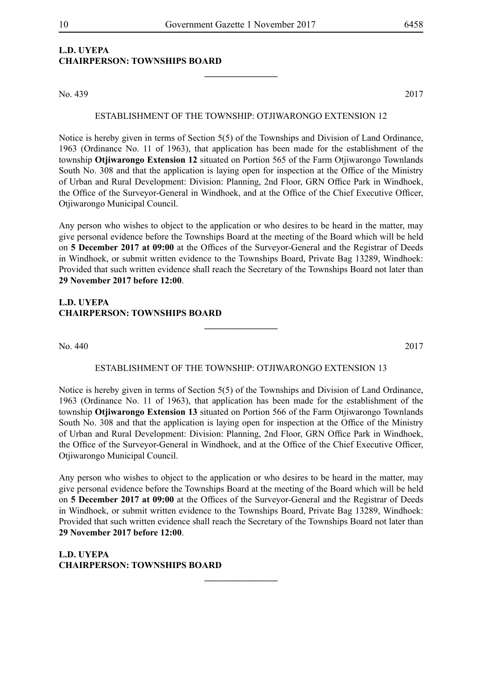**\_\_\_\_\_\_\_\_\_\_\_\_\_\_\_\_**

### **L.D. UYEPA CHAIRPERSON: TOWNSHIPS BOARD**

No. 439 2017

#### ESTABLISHMENT OF THE TOWNSHIP: OTJIWARONGO EXTENSION 12

Notice is hereby given in terms of Section 5(5) of the Townships and Division of Land Ordinance, 1963 (Ordinance No. 11 of 1963), that application has been made for the establishment of the township **Otjiwarongo Extension 12** situated on Portion 565 of the Farm Otjiwarongo Townlands South No. 308 and that the application is laying open for inspection at the Office of the Ministry of Urban and Rural Development: Division: Planning, 2nd Floor, GRN Office Park in Windhoek, the Office of the Surveyor-General in Windhoek, and at the Office of the Chief Executive Officer, Otjiwarongo Municipal Council.

Any person who wishes to object to the application or who desires to be heard in the matter, may give personal evidence before the Townships Board at the meeting of the Board which will be held on **5 December 2017 at 09:00** at the Offices of the Surveyor-General and the Registrar of Deeds in Windhoek, or submit written evidence to the Townships Board, Private Bag 13289, Windhoek: Provided that such written evidence shall reach the Secretary of the Townships Board not later than **29 November 2017 before 12:00**.

#### **L.D. UYEPA CHAIRPERSON: TOWNSHIPS BOARD**

No. 440 2017

#### ESTABLISHMENT OF THE TOWNSHIP: OTJIWARONGO EXTENSION 13

**\_\_\_\_\_\_\_\_\_\_\_\_\_\_\_\_**

Notice is hereby given in terms of Section 5(5) of the Townships and Division of Land Ordinance, 1963 (Ordinance No. 11 of 1963), that application has been made for the establishment of the township **Otjiwarongo Extension 13** situated on Portion 566 of the Farm Otjiwarongo Townlands South No. 308 and that the application is laying open for inspection at the Office of the Ministry of Urban and Rural Development: Division: Planning, 2nd Floor, GRN Office Park in Windhoek, the Office of the Surveyor-General in Windhoek, and at the Office of the Chief Executive Officer, Otjiwarongo Municipal Council.

Any person who wishes to object to the application or who desires to be heard in the matter, may give personal evidence before the Townships Board at the meeting of the Board which will be held on **5 December 2017 at 09:00** at the Offices of the Surveyor-General and the Registrar of Deeds in Windhoek, or submit written evidence to the Townships Board, Private Bag 13289, Windhoek: Provided that such written evidence shall reach the Secretary of the Townships Board not later than **29 November 2017 before 12:00**.

**\_\_\_\_\_\_\_\_\_\_\_\_\_\_\_\_**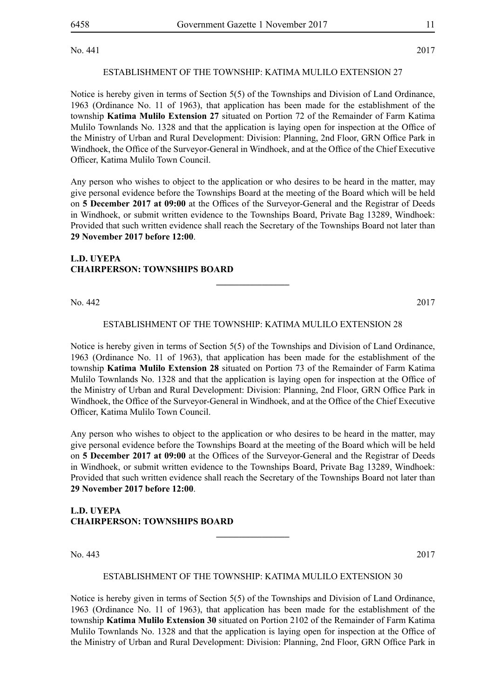No. 441 2017

#### ESTABLISHMENT OF THE TOWNSHIP: KATIMA MULILO EXTENSION 27

Notice is hereby given in terms of Section 5(5) of the Townships and Division of Land Ordinance, 1963 (Ordinance No. 11 of 1963), that application has been made for the establishment of the township **Katima Mulilo Extension 27** situated on Portion 72 of the Remainder of Farm Katima Mulilo Townlands No. 1328 and that the application is laying open for inspection at the Office of the Ministry of Urban and Rural Development: Division: Planning, 2nd Floor, GRN Office Park in Windhoek, the Office of the Surveyor-General in Windhoek, and at the Office of the Chief Executive Officer, Katima Mulilo Town Council.

Any person who wishes to object to the application or who desires to be heard in the matter, may give personal evidence before the Townships Board at the meeting of the Board which will be held on **5 December 2017 at 09:00** at the Offices of the Surveyor-General and the Registrar of Deeds in Windhoek, or submit written evidence to the Townships Board, Private Bag 13289, Windhoek: Provided that such written evidence shall reach the Secretary of the Townships Board not later than **29 November 2017 before 12:00**.

#### **L.D. UYEPA CHAIRPERSON: TOWNSHIPS BOARD**

No. 442 2017

#### ESTABLISHMENT OF THE TOWNSHIP: KATIMA MULILO EXTENSION 28

**\_\_\_\_\_\_\_\_\_\_\_\_\_\_\_\_**

Notice is hereby given in terms of Section 5(5) of the Townships and Division of Land Ordinance, 1963 (Ordinance No. 11 of 1963), that application has been made for the establishment of the township **Katima Mulilo Extension 28** situated on Portion 73 of the Remainder of Farm Katima Mulilo Townlands No. 1328 and that the application is laying open for inspection at the Office of the Ministry of Urban and Rural Development: Division: Planning, 2nd Floor, GRN Office Park in Windhoek, the Office of the Surveyor-General in Windhoek, and at the Office of the Chief Executive Officer, Katima Mulilo Town Council.

Any person who wishes to object to the application or who desires to be heard in the matter, may give personal evidence before the Townships Board at the meeting of the Board which will be held on **5 December 2017 at 09:00** at the Offices of the Surveyor-General and the Registrar of Deeds in Windhoek, or submit written evidence to the Townships Board, Private Bag 13289, Windhoek: Provided that such written evidence shall reach the Secretary of the Townships Board not later than **29 November 2017 before 12:00**.

#### **L.D. UYEPA CHAIRPERSON: TOWNSHIPS BOARD**

No. 443 2017

#### ESTABLISHMENT OF THE TOWNSHIP: KATIMA MULILO EXTENSION 30

**\_\_\_\_\_\_\_\_\_\_\_\_\_\_\_\_**

Notice is hereby given in terms of Section 5(5) of the Townships and Division of Land Ordinance, 1963 (Ordinance No. 11 of 1963), that application has been made for the establishment of the township **Katima Mulilo Extension 30** situated on Portion 2102 of the Remainder of Farm Katima Mulilo Townlands No. 1328 and that the application is laying open for inspection at the Office of the Ministry of Urban and Rural Development: Division: Planning, 2nd Floor, GRN Office Park in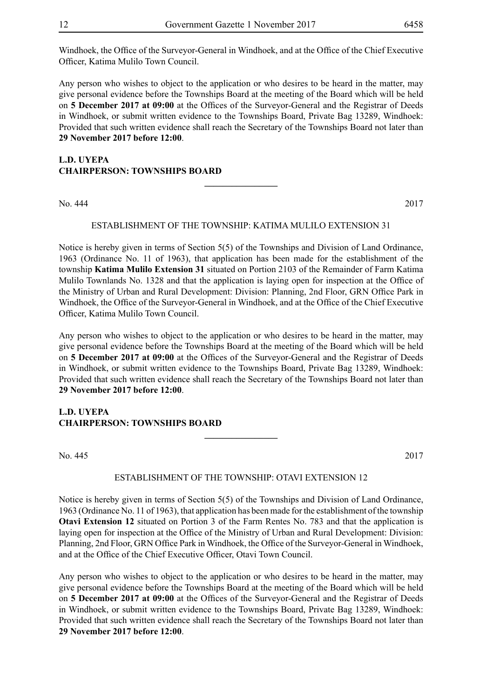Windhoek, the Office of the Surveyor-General in Windhoek, and at the Office of the Chief Executive Officer, Katima Mulilo Town Council.

Any person who wishes to object to the application or who desires to be heard in the matter, may give personal evidence before the Townships Board at the meeting of the Board which will be held on **5 December 2017 at 09:00** at the Offices of the Surveyor-General and the Registrar of Deeds in Windhoek, or submit written evidence to the Townships Board, Private Bag 13289, Windhoek: Provided that such written evidence shall reach the Secretary of the Townships Board not later than **29 November 2017 before 12:00**.

#### **L.D. UYEPA CHAIRPERSON: TOWNSHIPS BOARD**

No. 444 2017

#### ESTABLISHMENT OF THE TOWNSHIP: KATIMA MULILO EXTENSION 31

**\_\_\_\_\_\_\_\_\_\_\_\_\_\_\_\_**

Notice is hereby given in terms of Section 5(5) of the Townships and Division of Land Ordinance, 1963 (Ordinance No. 11 of 1963), that application has been made for the establishment of the township **Katima Mulilo Extension 31** situated on Portion 2103 of the Remainder of Farm Katima Mulilo Townlands No. 1328 and that the application is laying open for inspection at the Office of the Ministry of Urban and Rural Development: Division: Planning, 2nd Floor, GRN Office Park in Windhoek, the Office of the Surveyor-General in Windhoek, and at the Office of the Chief Executive Officer, Katima Mulilo Town Council.

Any person who wishes to object to the application or who desires to be heard in the matter, may give personal evidence before the Townships Board at the meeting of the Board which will be held on **5 December 2017 at 09:00** at the Offices of the Surveyor-General and the Registrar of Deeds in Windhoek, or submit written evidence to the Townships Board, Private Bag 13289, Windhoek: Provided that such written evidence shall reach the Secretary of the Townships Board not later than **29 November 2017 before 12:00**.

#### **L.D. UYEPA CHAIRPERSON: TOWNSHIPS BOARD**

No. 445 2017

#### ESTABLISHMENT OF THE TOWNSHIP: OTAVI EXTENSION 12

**\_\_\_\_\_\_\_\_\_\_\_\_\_\_\_\_**

Notice is hereby given in terms of Section 5(5) of the Townships and Division of Land Ordinance, 1963 (Ordinance No. 11 of 1963), that application has been made for the establishment of the township **Otavi Extension 12** situated on Portion 3 of the Farm Rentes No. 783 and that the application is laying open for inspection at the Office of the Ministry of Urban and Rural Development: Division: Planning, 2nd Floor, GRN Office Park in Windhoek, the Office of the Surveyor-General in Windhoek, and at the Office of the Chief Executive Officer, Otavi Town Council.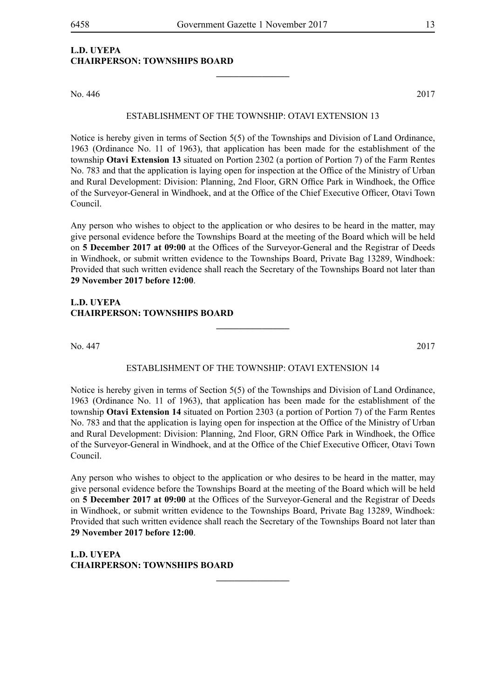#### **L.D. UYEPA CHAIRPERSON: TOWNSHIPS BOARD**

No. 446 2017

#### ESTABLISHMENT OF THE TOWNSHIP: OTAVI EXTENSION 13

**\_\_\_\_\_\_\_\_\_\_\_\_\_\_\_\_**

Notice is hereby given in terms of Section 5(5) of the Townships and Division of Land Ordinance, 1963 (Ordinance No. 11 of 1963), that application has been made for the establishment of the township **Otavi Extension 13** situated on Portion 2302 (a portion of Portion 7) of the Farm Rentes No. 783 and that the application is laying open for inspection at the Office of the Ministry of Urban and Rural Development: Division: Planning, 2nd Floor, GRN Office Park in Windhoek, the Office of the Surveyor-General in Windhoek, and at the Office of the Chief Executive Officer, Otavi Town Council.

Any person who wishes to object to the application or who desires to be heard in the matter, may give personal evidence before the Townships Board at the meeting of the Board which will be held on **5 December 2017 at 09:00** at the Offices of the Surveyor-General and the Registrar of Deeds in Windhoek, or submit written evidence to the Townships Board, Private Bag 13289, Windhoek: Provided that such written evidence shall reach the Secretary of the Townships Board not later than **29 November 2017 before 12:00**.

#### **L.D. UYEPA CHAIRPERSON: TOWNSHIPS BOARD**

No. 447 2017

#### ESTABLISHMENT OF THE TOWNSHIP: OTAVI EXTENSION 14

**\_\_\_\_\_\_\_\_\_\_\_\_\_\_\_\_**

Notice is hereby given in terms of Section 5(5) of the Townships and Division of Land Ordinance, 1963 (Ordinance No. 11 of 1963), that application has been made for the establishment of the township **Otavi Extension 14** situated on Portion 2303 (a portion of Portion 7) of the Farm Rentes No. 783 and that the application is laying open for inspection at the Office of the Ministry of Urban and Rural Development: Division: Planning, 2nd Floor, GRN Office Park in Windhoek, the Office of the Surveyor-General in Windhoek, and at the Office of the Chief Executive Officer, Otavi Town Council.

Any person who wishes to object to the application or who desires to be heard in the matter, may give personal evidence before the Townships Board at the meeting of the Board which will be held on **5 December 2017 at 09:00** at the Offices of the Surveyor-General and the Registrar of Deeds in Windhoek, or submit written evidence to the Townships Board, Private Bag 13289, Windhoek: Provided that such written evidence shall reach the Secretary of the Townships Board not later than **29 November 2017 before 12:00**.

**\_\_\_\_\_\_\_\_\_\_\_\_\_\_\_\_**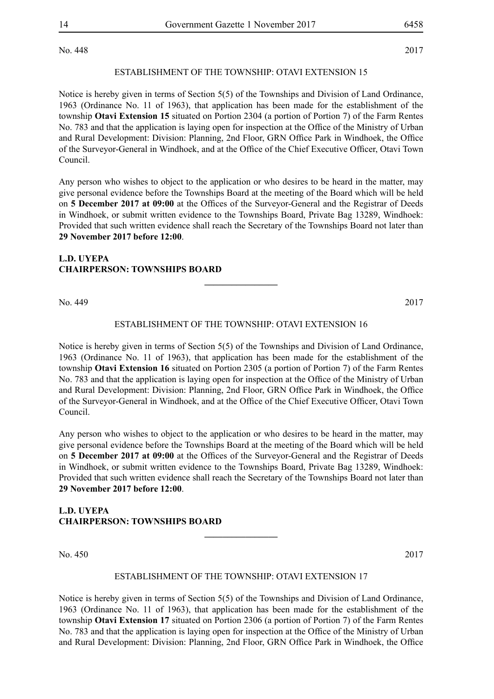No. 448 2017

#### ESTABLISHMENT OF THE TOWNSHIP: OTAVI EXTENSION 15

Notice is hereby given in terms of Section 5(5) of the Townships and Division of Land Ordinance, 1963 (Ordinance No. 11 of 1963), that application has been made for the establishment of the township **Otavi Extension 15** situated on Portion 2304 (a portion of Portion 7) of the Farm Rentes No. 783 and that the application is laying open for inspection at the Office of the Ministry of Urban and Rural Development: Division: Planning, 2nd Floor, GRN Office Park in Windhoek, the Office of the Surveyor-General in Windhoek, and at the Office of the Chief Executive Officer, Otavi Town Council.

Any person who wishes to object to the application or who desires to be heard in the matter, may give personal evidence before the Townships Board at the meeting of the Board which will be held on **5 December 2017 at 09:00** at the Offices of the Surveyor-General and the Registrar of Deeds in Windhoek, or submit written evidence to the Townships Board, Private Bag 13289, Windhoek: Provided that such written evidence shall reach the Secretary of the Townships Board not later than **29 November 2017 before 12:00**.

#### **L.D. UYEPA CHAIRPERSON: TOWNSHIPS BOARD**

No. 449 2017

#### ESTABLISHMENT OF THE TOWNSHIP: OTAVI EXTENSION 16

**\_\_\_\_\_\_\_\_\_\_\_\_\_\_\_\_**

Notice is hereby given in terms of Section 5(5) of the Townships and Division of Land Ordinance, 1963 (Ordinance No. 11 of 1963), that application has been made for the establishment of the township **Otavi Extension 16** situated on Portion 2305 (a portion of Portion 7) of the Farm Rentes No. 783 and that the application is laying open for inspection at the Office of the Ministry of Urban and Rural Development: Division: Planning, 2nd Floor, GRN Office Park in Windhoek, the Office of the Surveyor-General in Windhoek, and at the Office of the Chief Executive Officer, Otavi Town Council.

Any person who wishes to object to the application or who desires to be heard in the matter, may give personal evidence before the Townships Board at the meeting of the Board which will be held on **5 December 2017 at 09:00** at the Offices of the Surveyor-General and the Registrar of Deeds in Windhoek, or submit written evidence to the Townships Board, Private Bag 13289, Windhoek: Provided that such written evidence shall reach the Secretary of the Townships Board not later than **29 November 2017 before 12:00**.

#### **L.D. UYEPA CHAIRPERSON: TOWNSHIPS BOARD**

No. 450 2017

#### ESTABLISHMENT OF THE TOWNSHIP: OTAVI EXTENSION 17

**\_\_\_\_\_\_\_\_\_\_\_\_\_\_\_\_**

Notice is hereby given in terms of Section 5(5) of the Townships and Division of Land Ordinance, 1963 (Ordinance No. 11 of 1963), that application has been made for the establishment of the township **Otavi Extension 17** situated on Portion 2306 (a portion of Portion 7) of the Farm Rentes No. 783 and that the application is laying open for inspection at the Office of the Ministry of Urban and Rural Development: Division: Planning, 2nd Floor, GRN Office Park in Windhoek, the Office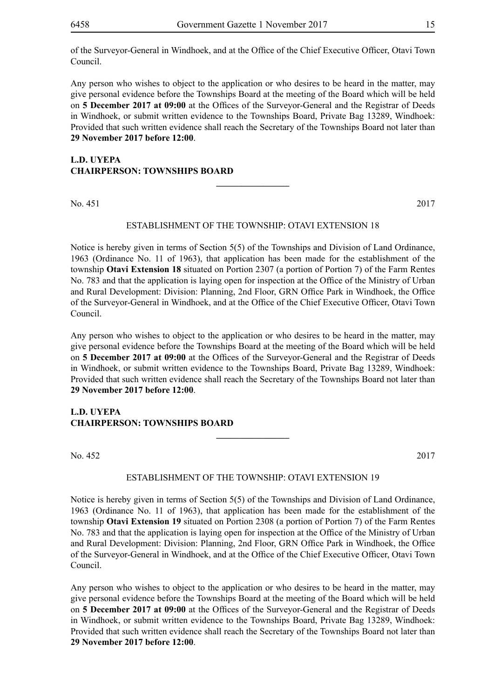of the Surveyor-General in Windhoek, and at the Office of the Chief Executive Officer, Otavi Town Council.

Any person who wishes to object to the application or who desires to be heard in the matter, may give personal evidence before the Townships Board at the meeting of the Board which will be held on **5 December 2017 at 09:00** at the Offices of the Surveyor-General and the Registrar of Deeds in Windhoek, or submit written evidence to the Townships Board, Private Bag 13289, Windhoek: Provided that such written evidence shall reach the Secretary of the Townships Board not later than **29 November 2017 before 12:00**.

#### **L.D. UYEPA CHAIRPERSON: TOWNSHIPS BOARD**

No. 451 2017

#### ESTABLISHMENT OF THE TOWNSHIP: OTAVI EXTENSION 18

**\_\_\_\_\_\_\_\_\_\_\_\_\_\_\_\_**

Notice is hereby given in terms of Section 5(5) of the Townships and Division of Land Ordinance, 1963 (Ordinance No. 11 of 1963), that application has been made for the establishment of the township **Otavi Extension 18** situated on Portion 2307 (a portion of Portion 7) of the Farm Rentes No. 783 and that the application is laying open for inspection at the Office of the Ministry of Urban and Rural Development: Division: Planning, 2nd Floor, GRN Office Park in Windhoek, the Office of the Surveyor-General in Windhoek, and at the Office of the Chief Executive Officer, Otavi Town Council.

Any person who wishes to object to the application or who desires to be heard in the matter, may give personal evidence before the Townships Board at the meeting of the Board which will be held on **5 December 2017 at 09:00** at the Offices of the Surveyor-General and the Registrar of Deeds in Windhoek, or submit written evidence to the Townships Board, Private Bag 13289, Windhoek: Provided that such written evidence shall reach the Secretary of the Townships Board not later than **29 November 2017 before 12:00**.

#### **L.D. UYEPA CHAIRPERSON: TOWNSHIPS BOARD**

No. 452 2017

#### ESTABLISHMENT OF THE TOWNSHIP: OTAVI EXTENSION 19

**\_\_\_\_\_\_\_\_\_\_\_\_\_\_\_\_**

Notice is hereby given in terms of Section 5(5) of the Townships and Division of Land Ordinance, 1963 (Ordinance No. 11 of 1963), that application has been made for the establishment of the township **Otavi Extension 19** situated on Portion 2308 (a portion of Portion 7) of the Farm Rentes No. 783 and that the application is laying open for inspection at the Office of the Ministry of Urban and Rural Development: Division: Planning, 2nd Floor, GRN Office Park in Windhoek, the Office of the Surveyor-General in Windhoek, and at the Office of the Chief Executive Officer, Otavi Town Council.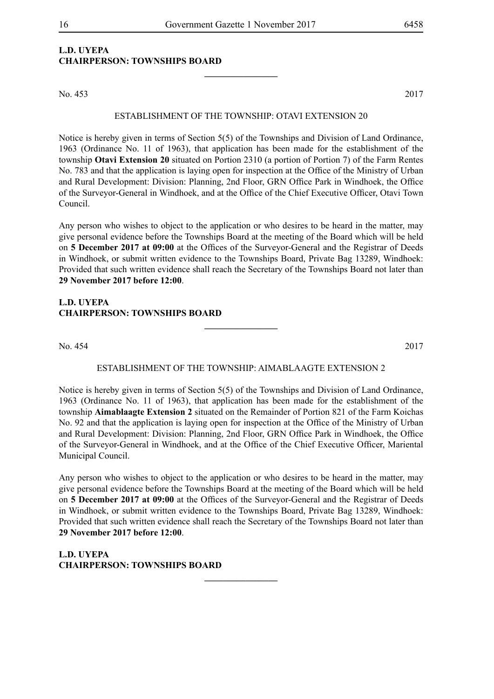#### **L.D. UYEPA CHAIRPERSON: TOWNSHIPS BOARD**

No. 453 2017

#### ESTABLISHMENT OF THE TOWNSHIP: OTAVI EXTENSION 20

**\_\_\_\_\_\_\_\_\_\_\_\_\_\_\_\_**

Notice is hereby given in terms of Section 5(5) of the Townships and Division of Land Ordinance, 1963 (Ordinance No. 11 of 1963), that application has been made for the establishment of the township **Otavi Extension 20** situated on Portion 2310 (a portion of Portion 7) of the Farm Rentes No. 783 and that the application is laying open for inspection at the Office of the Ministry of Urban and Rural Development: Division: Planning, 2nd Floor, GRN Office Park in Windhoek, the Office of the Surveyor-General in Windhoek, and at the Office of the Chief Executive Officer, Otavi Town Council.

Any person who wishes to object to the application or who desires to be heard in the matter, may give personal evidence before the Townships Board at the meeting of the Board which will be held on **5 December 2017 at 09:00** at the Offices of the Surveyor-General and the Registrar of Deeds in Windhoek, or submit written evidence to the Townships Board, Private Bag 13289, Windhoek: Provided that such written evidence shall reach the Secretary of the Townships Board not later than **29 November 2017 before 12:00**.

#### **L.D. UYEPA CHAIRPERSON: TOWNSHIPS BOARD**

No. 454 2017

#### ESTABLISHMENT OF THE TOWNSHIP: AIMABLAAGTE EXTENSION 2

**\_\_\_\_\_\_\_\_\_\_\_\_\_\_\_\_**

Notice is hereby given in terms of Section 5(5) of the Townships and Division of Land Ordinance, 1963 (Ordinance No. 11 of 1963), that application has been made for the establishment of the township **Aimablaagte Extension 2** situated on the Remainder of Portion 821 of the Farm Koichas No. 92 and that the application is laying open for inspection at the Office of the Ministry of Urban and Rural Development: Division: Planning, 2nd Floor, GRN Office Park in Windhoek, the Office of the Surveyor-General in Windhoek, and at the Office of the Chief Executive Officer, Mariental Municipal Council.

Any person who wishes to object to the application or who desires to be heard in the matter, may give personal evidence before the Townships Board at the meeting of the Board which will be held on **5 December 2017 at 09:00** at the Offices of the Surveyor-General and the Registrar of Deeds in Windhoek, or submit written evidence to the Townships Board, Private Bag 13289, Windhoek: Provided that such written evidence shall reach the Secretary of the Townships Board not later than **29 November 2017 before 12:00**.

**\_\_\_\_\_\_\_\_\_\_\_\_\_\_\_\_**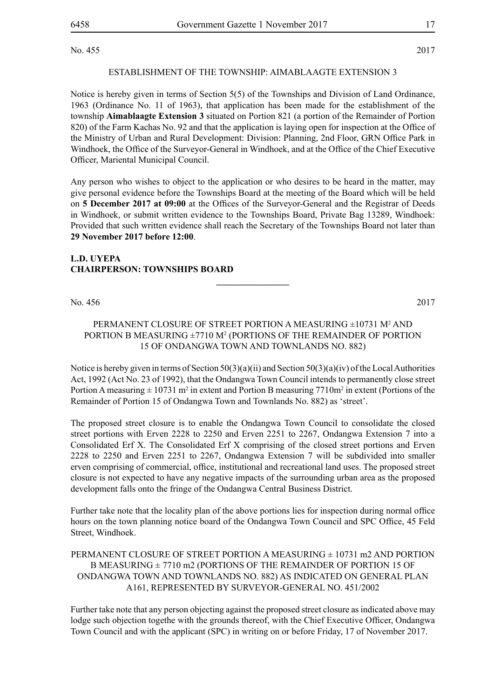No. 455 2017

#### ESTABLISHMENT OF THE TOWNSHIP: AIMABLAAGTE EXTENSION 3

Notice is hereby given in terms of Section 5(5) of the Townships and Division of Land Ordinance, 1963 (Ordinance No. 11 of 1963), that application has been made for the establishment of the township **Aimablaagte Extension 3** situated on Portion 821 (a portion of the Remainder of Portion 820) of the Farm Kachas No. 92 and that the application is laying open for inspection at the Office of the Ministry of Urban and Rural Development: Division: Planning, 2nd Floor, GRN Office Park in Windhoek, the Office of the Surveyor-General in Windhoek, and at the Office of the Chief Executive Officer, Mariental Municipal Council.

Any person who wishes to object to the application or who desires to be heard in the matter, may give personal evidence before the Townships Board at the meeting of the Board which will be held on **5 December 2017 at 09:00** at the Offices of the Surveyor-General and the Registrar of Deeds in Windhoek, or submit written evidence to the Townships Board, Private Bag 13289, Windhoek: Provided that such written evidence shall reach the Secretary of the Townships Board not later than **29 November 2017 before 12:00**.

#### **L.D. UYEPA CHAIRPERSON: TOWNSHIPS BOARD**

No. 456 2017

#### PERMANENT CLOSURE OF STREET PORTION A MEASURING ±10731 M<sup>2</sup> AND PORTION B MEASURING  $\pm 7710$  M<sup>2</sup> (PORTIONS OF THE REMAINDER OF PORTION 15 OF ONDANGWA TOWN AND TOWNLANDS NO. 882)

**\_\_\_\_\_\_\_\_\_\_\_\_\_\_\_\_**

Notice is hereby given in terms of Section  $50(3)(a)(i)$  and Section  $50(3)(a)(iv)$  of the Local Authorities Act, 1992 (Act No. 23 of 1992), that the Ondangwa Town Council intends to permanently close street Portion A measuring  $\pm 10731$  m<sup>2</sup> in extent and Portion B measuring 7710m<sup>2</sup> in extent (Portions of the Remainder of Portion 15 of Ondangwa Town and Townlands No. 882) as 'street'.

The proposed street closure is to enable the Ondangwa Town Council to consolidate the closed street portions with Erven 2228 to 2250 and Erven 2251 to 2267, Ondangwa Extension 7 into a Consolidated Erf X. The Consolidated Erf X comprising of the closed street portions and Erven 2228 to 2250 and Erven 2251 to 2267, Ondangwa Extension 7 will be subdivided into smaller erven comprising of commercial, office, institutional and recreational land uses. The proposed street closure is not expected to have any negative impacts of the surrounding urban area as the proposed development falls onto the fringe of the Ondangwa Central Business District.

Further take note that the locality plan of the above portions lies for inspection during normal office hours on the town planning notice board of the Ondangwa Town Council and SPC Office, 45 Feld Street, Windhoek.

#### PERMANENT CLOSURE OF STREET PORTION A MEASURING  $\pm$  10731 m2 AND PORTION B MEASURING ± 7710 m2 (PORTIONS OF THE REMAINDER OF PORTION 15 OF ONDANGWA TOWN AND TOWNLANDS NO. 882) AS INDICATED ON GENERAL PLAN A161, REPRESENTED BY SURVEYOR-GENERAL NO. 451/2002

Further take note that any person objecting against the proposed street closure as indicated above may lodge such objection togethe with the grounds thereof, with the Chief Executive Officer, Ondangwa Town Council and with the applicant (SPC) in writing on or before Friday, 17 of November 2017.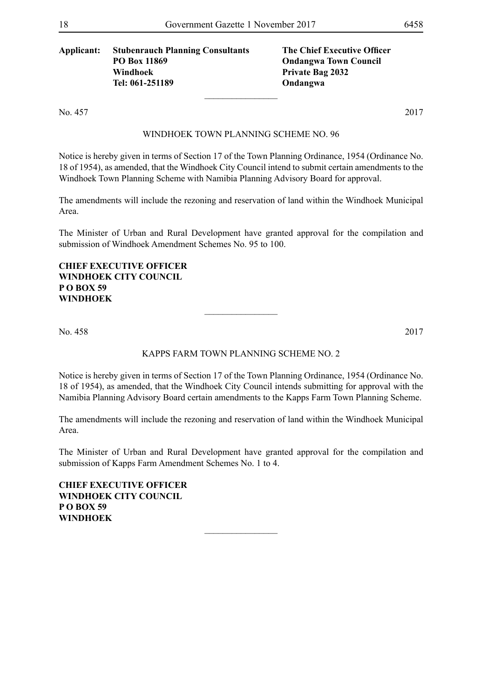#### **Applicant: Stubenrauch Planning Consultants The Chief Executive Officer PO Box 11869 Ondangwa Town Council Windhoek Private Bag 2032 Tel: 061-251189 Ondangwa**

No. 457 2017

#### WINDHOEK TOWN PLANNING SCHEME NO. 96

 $\overline{\phantom{a}}$  , where  $\overline{\phantom{a}}$ 

Notice is hereby given in terms of Section 17 of the Town Planning Ordinance, 1954 (Ordinance No. 18 of 1954), as amended, that the Windhoek City Council intend to submit certain amendments to the Windhoek Town Planning Scheme with Namibia Planning Advisory Board for approval.

The amendments will include the rezoning and reservation of land within the Windhoek Municipal Area.

The Minister of Urban and Rural Development have granted approval for the compilation and submission of Windhoek Amendment Schemes No. 95 to 100.

**Chief Executive Officer Windhoek City Council P O Box 59 Windhoek**

No. 458 2017

#### Kapps Farm Town Planning Scheme No. 2

 $\overline{\phantom{a}}$  , where  $\overline{\phantom{a}}$ 

Notice is hereby given in terms of Section 17 of the Town Planning Ordinance, 1954 (Ordinance No. 18 of 1954), as amended, that the Windhoek City Council intends submitting for approval with the Namibia Planning Advisory Board certain amendments to the Kapps Farm Town Planning Scheme.

The amendments will include the rezoning and reservation of land within the Windhoek Municipal Area.

The Minister of Urban and Rural Development have granted approval for the compilation and submission of Kapps Farm Amendment Schemes No. 1 to 4.

 $\overline{\phantom{a}}$  , where  $\overline{\phantom{a}}$ 

**Chief Executive Officer Windhoek City Council P O Box 59 Windhoek**